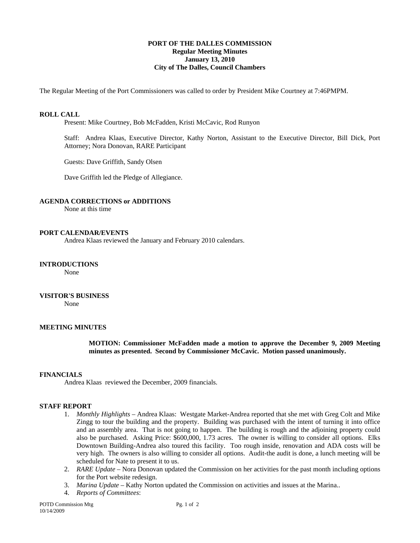# **PORT OF THE DALLES COMMISSION Regular Meeting Minutes January 13, 2010 City of The Dalles, Council Chambers**

The Regular Meeting of the Port Commissioners was called to order by President Mike Courtney at 7:46PMPM.

### **ROLL CALL**

Present: Mike Courtney, Bob McFadden, Kristi McCavic, Rod Runyon

Staff: Andrea Klaas, Executive Director, Kathy Norton, Assistant to the Executive Director, Bill Dick, Port Attorney; Nora Donovan, RARE Participant

Guests: Dave Griffith, Sandy Olsen

Dave Griffith led the Pledge of Allegiance.

#### **AGENDA CORRECTIONS or ADDITIONS**

None at this time

### **PORT CALENDAR/EVENTS**

Andrea Klaas reviewed the January and February 2010 calendars.

# **INTRODUCTIONS**

None

### **VISITOR'S BUSINESS**

None

#### **MEETING MINUTES**

**MOTION: Commissioner McFadden made a motion to approve the December 9, 2009 Meeting minutes as presented. Second by Commissioner McCavic. Motion passed unanimously.** 

#### **FINANCIALS**

Andrea Klaas reviewed the December, 2009 financials.

#### **STAFF REPORT**

- 1. *Monthly Highlights* Andrea Klaas: Westgate Market-Andrea reported that she met with Greg Colt and Mike Zingg to tour the building and the property. Building was purchased with the intent of turning it into office and an assembly area. That is not going to happen. The building is rough and the adjoining property could also be purchased. Asking Price: \$600,000, 1.73 acres. The owner is willing to consider all options. Elks Downtown Building-Andrea also toured this facility. Too rough inside, renovation and ADA costs will be very high. The owners is also willing to consider all options. Audit-the audit is done, a lunch meeting will be scheduled for Nate to present it to us.
- 2. *RARE Update* Nora Donovan updated the Commission on her activities for the past month including options for the Port website redesign.
- 3. *Marina Update* Kathy Norton updated the Commission on activities and issues at the Marina..
- 4. *Reports of Committees*: